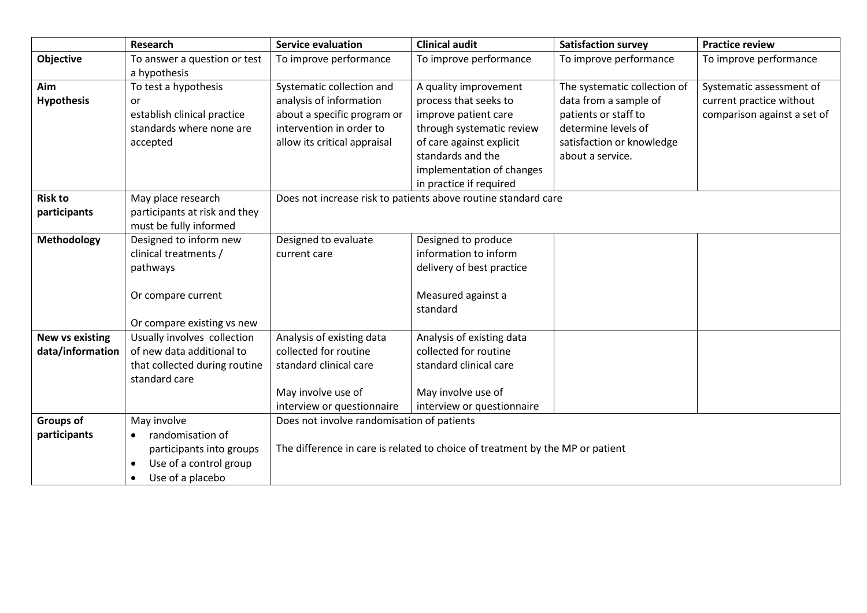|                        | Research                                       | <b>Service evaluation</b>                                                     | <b>Clinical audit</b>      | <b>Satisfaction survey</b>   | <b>Practice review</b>      |
|------------------------|------------------------------------------------|-------------------------------------------------------------------------------|----------------------------|------------------------------|-----------------------------|
| Objective              | To answer a question or test                   | To improve performance                                                        | To improve performance     | To improve performance       | To improve performance      |
|                        | a hypothesis                                   |                                                                               |                            |                              |                             |
| Aim                    | To test a hypothesis                           | Systematic collection and                                                     | A quality improvement      | The systematic collection of | Systematic assessment of    |
| <b>Hypothesis</b>      | or                                             | analysis of information                                                       | process that seeks to      | data from a sample of        | current practice without    |
|                        | establish clinical practice                    | about a specific program or                                                   | improve patient care       | patients or staff to         | comparison against a set of |
|                        | standards where none are                       | intervention in order to                                                      | through systematic review  | determine levels of          |                             |
|                        | accepted                                       | allow its critical appraisal                                                  | of care against explicit   | satisfaction or knowledge    |                             |
|                        |                                                |                                                                               | standards and the          | about a service.             |                             |
|                        |                                                |                                                                               | implementation of changes  |                              |                             |
|                        |                                                |                                                                               | in practice if required    |                              |                             |
| <b>Risk to</b>         | May place research                             | Does not increase risk to patients above routine standard care                |                            |                              |                             |
| participants           | participants at risk and they                  |                                                                               |                            |                              |                             |
|                        | must be fully informed                         |                                                                               |                            |                              |                             |
| <b>Methodology</b>     | Designed to inform new                         | Designed to evaluate                                                          | Designed to produce        |                              |                             |
|                        | clinical treatments /                          | current care                                                                  | information to inform      |                              |                             |
|                        | pathways                                       |                                                                               | delivery of best practice  |                              |                             |
|                        |                                                |                                                                               |                            |                              |                             |
|                        | Or compare current                             |                                                                               | Measured against a         |                              |                             |
|                        |                                                |                                                                               | standard                   |                              |                             |
|                        | Or compare existing vs new                     |                                                                               |                            |                              |                             |
| <b>New vs existing</b> | Usually involves collection                    | Analysis of existing data                                                     | Analysis of existing data  |                              |                             |
| data/information       | of new data additional to                      | collected for routine                                                         | collected for routine      |                              |                             |
|                        | that collected during routine<br>standard care | standard clinical care                                                        | standard clinical care     |                              |                             |
|                        |                                                | May involve use of                                                            | May involve use of         |                              |                             |
|                        |                                                | interview or questionnaire                                                    | interview or questionnaire |                              |                             |
| <b>Groups of</b>       | May involve                                    | Does not involve randomisation of patients                                    |                            |                              |                             |
| participants           | randomisation of<br>$\bullet$                  |                                                                               |                            |                              |                             |
|                        | participants into groups                       | The difference in care is related to choice of treatment by the MP or patient |                            |                              |                             |
|                        | Use of a control group                         |                                                                               |                            |                              |                             |
|                        | Use of a placebo<br>$\bullet$                  |                                                                               |                            |                              |                             |